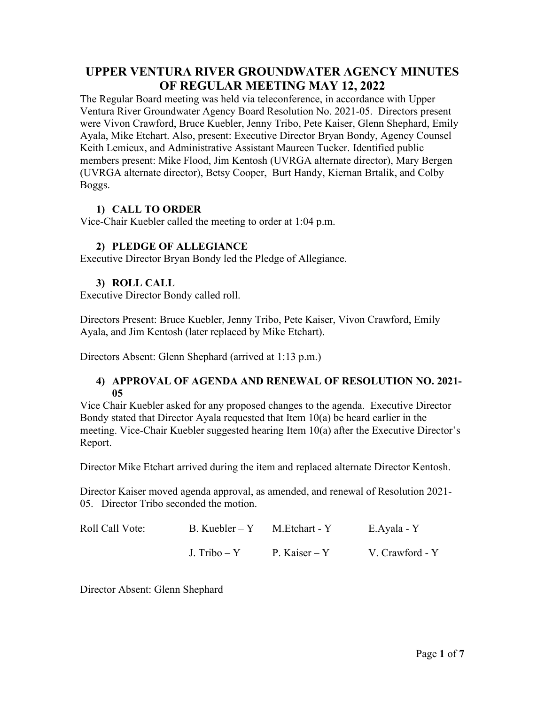# **UPPER VENTURA RIVER GROUNDWATER AGENCY MINUTES OF REGULAR MEETING MAY 12, 2022**

The Regular Board meeting was held via teleconference, in accordance with Upper Ventura River Groundwater Agency Board Resolution No. 2021-05. Directors present were Vivon Crawford, Bruce Kuebler, Jenny Tribo, Pete Kaiser, Glenn Shephard, Emily Ayala, Mike Etchart. Also, present: Executive Director Bryan Bondy, Agency Counsel Keith Lemieux, and Administrative Assistant Maureen Tucker. Identified public members present: Mike Flood, Jim Kentosh (UVRGA alternate director), Mary Bergen (UVRGA alternate director), Betsy Cooper, Burt Handy, Kiernan Brtalik, and Colby Boggs.

## **1) CALL TO ORDER**

Vice-Chair Kuebler called the meeting to order at 1:04 p.m.

## **2) PLEDGE OF ALLEGIANCE**

Executive Director Bryan Bondy led the Pledge of Allegiance.

# **3) ROLL CALL**

Executive Director Bondy called roll.

Directors Present: Bruce Kuebler, Jenny Tribo, Pete Kaiser, Vivon Crawford, Emily Ayala, and Jim Kentosh (later replaced by Mike Etchart).

Directors Absent: Glenn Shephard (arrived at 1:13 p.m.)

### **4) APPROVAL OF AGENDA AND RENEWAL OF RESOLUTION NO. 2021- 05**

Vice Chair Kuebler asked for any proposed changes to the agenda. Executive Director Bondy stated that Director Ayala requested that Item 10(a) be heard earlier in the meeting. Vice-Chair Kuebler suggested hearing Item 10(a) after the Executive Director's Report.

Director Mike Etchart arrived during the item and replaced alternate Director Kentosh.

Director Kaiser moved agenda approval, as amended, and renewal of Resolution 2021- 05. Director Tribo seconded the motion.

| Roll Call Vote: | B. Kuebler – $Y$ M. Etchart - Y |               | E.Ayala - Y     |
|-----------------|---------------------------------|---------------|-----------------|
|                 | J. Tribo – Y                    | P. Kaiser – Y | V. Crawford - Y |

Director Absent: Glenn Shephard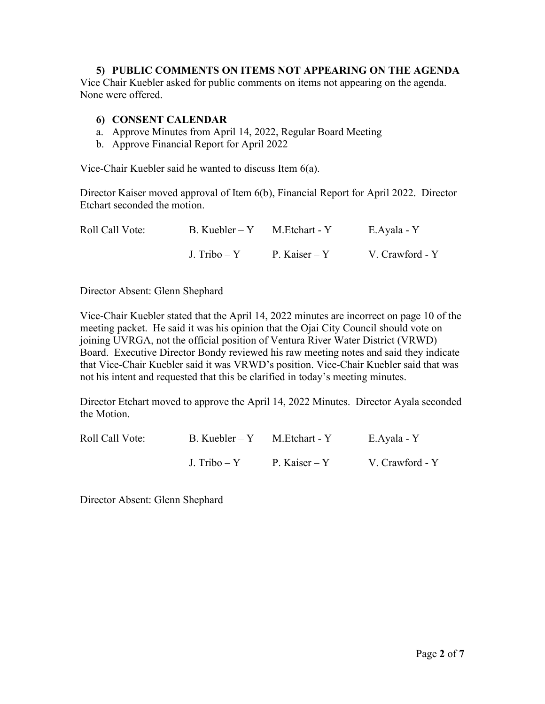#### **5) PUBLIC COMMENTS ON ITEMS NOT APPEARING ON THE AGENDA**

Vice Chair Kuebler asked for public comments on items not appearing on the agenda. None were offered.

#### **6) CONSENT CALENDAR**

- a. Approve Minutes from April 14, 2022, Regular Board Meeting
- b. Approve Financial Report for April 2022

Vice-Chair Kuebler said he wanted to discuss Item 6(a).

Director Kaiser moved approval of Item 6(b), Financial Report for April 2022. Director Etchart seconded the motion.

| Roll Call Vote: | $B.$ Kuebler – Y M. Etchart - Y |               | E.Ayala - Y     |
|-----------------|---------------------------------|---------------|-----------------|
|                 | J. Tribo – Y                    | P. Kaiser – Y | V. Crawford - Y |

Director Absent: Glenn Shephard

Vice-Chair Kuebler stated that the April 14, 2022 minutes are incorrect on page 10 of the meeting packet. He said it was his opinion that the Ojai City Council should vote on joining UVRGA, not the official position of Ventura River Water District (VRWD) Board. Executive Director Bondy reviewed his raw meeting notes and said they indicate that Vice-Chair Kuebler said it was VRWD's position. Vice-Chair Kuebler said that was not his intent and requested that this be clarified in today's meeting minutes.

Director Etchart moved to approve the April 14, 2022 Minutes. Director Ayala seconded the Motion.

| Roll Call Vote: | B. Kuebler – $Y$ M. Etchart - Y |               | E.Ayala - Y     |
|-----------------|---------------------------------|---------------|-----------------|
|                 | J. Tribo – Y                    | P. Kaiser – Y | V. Crawford - Y |

Director Absent: Glenn Shephard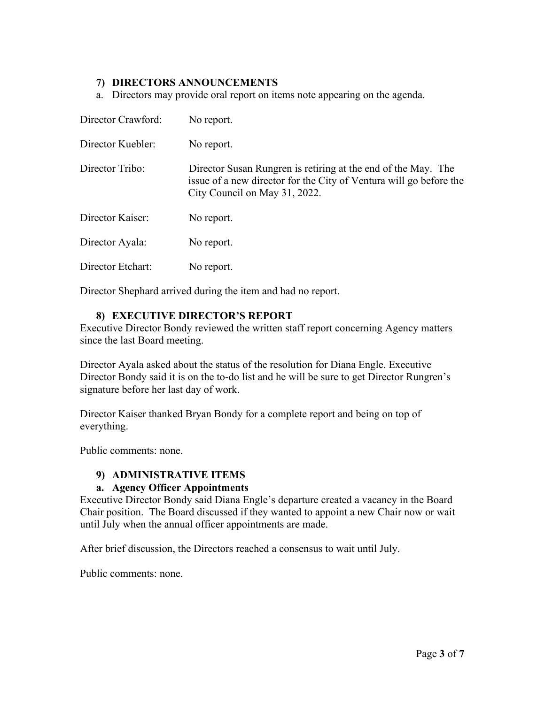### **7) DIRECTORS ANNOUNCEMENTS**

a. Directors may provide oral report on items note appearing on the agenda.

| Director Crawford: | No report.                                                                                                                                                           |
|--------------------|----------------------------------------------------------------------------------------------------------------------------------------------------------------------|
| Director Kuebler:  | No report.                                                                                                                                                           |
| Director Tribo:    | Director Susan Rungren is retiring at the end of the May. The<br>issue of a new director for the City of Ventura will go before the<br>City Council on May 31, 2022. |
| Director Kaiser:   | No report.                                                                                                                                                           |
| Director Ayala:    | No report.                                                                                                                                                           |
| Director Etchart:  | No report.                                                                                                                                                           |

Director Shephard arrived during the item and had no report.

### **8) EXECUTIVE DIRECTOR'S REPORT**

Executive Director Bondy reviewed the written staff report concerning Agency matters since the last Board meeting.

Director Ayala asked about the status of the resolution for Diana Engle. Executive Director Bondy said it is on the to-do list and he will be sure to get Director Rungren's signature before her last day of work.

Director Kaiser thanked Bryan Bondy for a complete report and being on top of everything.

Public comments: none.

### **9) ADMINISTRATIVE ITEMS**

### **a. Agency Officer Appointments**

Executive Director Bondy said Diana Engle's departure created a vacancy in the Board Chair position. The Board discussed if they wanted to appoint a new Chair now or wait until July when the annual officer appointments are made.

After brief discussion, the Directors reached a consensus to wait until July.

Public comments: none.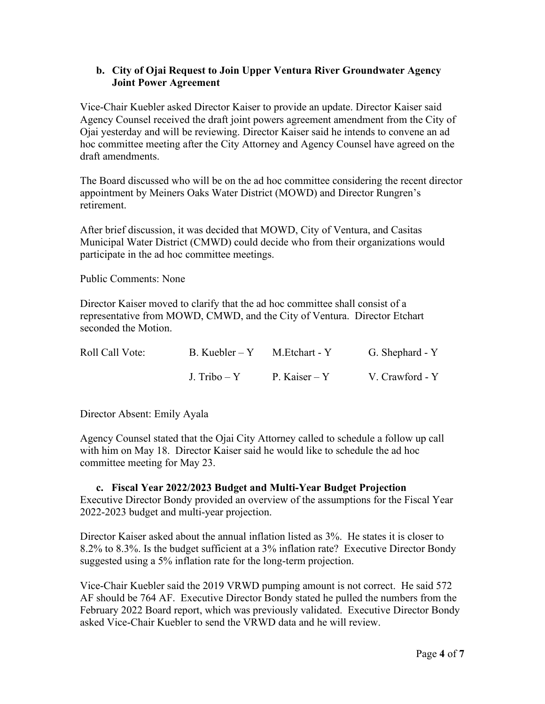### **b. City of Ojai Request to Join Upper Ventura River Groundwater Agency Joint Power Agreement**

Vice-Chair Kuebler asked Director Kaiser to provide an update. Director Kaiser said Agency Counsel received the draft joint powers agreement amendment from the City of Ojai yesterday and will be reviewing. Director Kaiser said he intends to convene an ad hoc committee meeting after the City Attorney and Agency Counsel have agreed on the draft amendments.

The Board discussed who will be on the ad hoc committee considering the recent director appointment by Meiners Oaks Water District (MOWD) and Director Rungren's retirement.

After brief discussion, it was decided that MOWD, City of Ventura, and Casitas Municipal Water District (CMWD) could decide who from their organizations would participate in the ad hoc committee meetings.

Public Comments: None

Director Kaiser moved to clarify that the ad hoc committee shall consist of a representative from MOWD, CMWD, and the City of Ventura. Director Etchart seconded the Motion.

| Roll Call Vote: | B. Kuebler – $Y$ M. Etchart - Y |               | G. Shephard - Y |
|-----------------|---------------------------------|---------------|-----------------|
|                 | J. Tribo – Y                    | P. Kaiser – Y | V. Crawford - Y |

Director Absent: Emily Ayala

Agency Counsel stated that the Ojai City Attorney called to schedule a follow up call with him on May 18. Director Kaiser said he would like to schedule the ad hoc committee meeting for May 23.

# **c. Fiscal Year 2022/2023 Budget and Multi-Year Budget Projection**

Executive Director Bondy provided an overview of the assumptions for the Fiscal Year 2022-2023 budget and multi-year projection.

Director Kaiser asked about the annual inflation listed as 3%. He states it is closer to 8.2% to 8.3%. Is the budget sufficient at a 3% inflation rate? Executive Director Bondy suggested using a 5% inflation rate for the long-term projection.

Vice-Chair Kuebler said the 2019 VRWD pumping amount is not correct. He said 572 AF should be 764 AF. Executive Director Bondy stated he pulled the numbers from the February 2022 Board report, which was previously validated. Executive Director Bondy asked Vice-Chair Kuebler to send the VRWD data and he will review.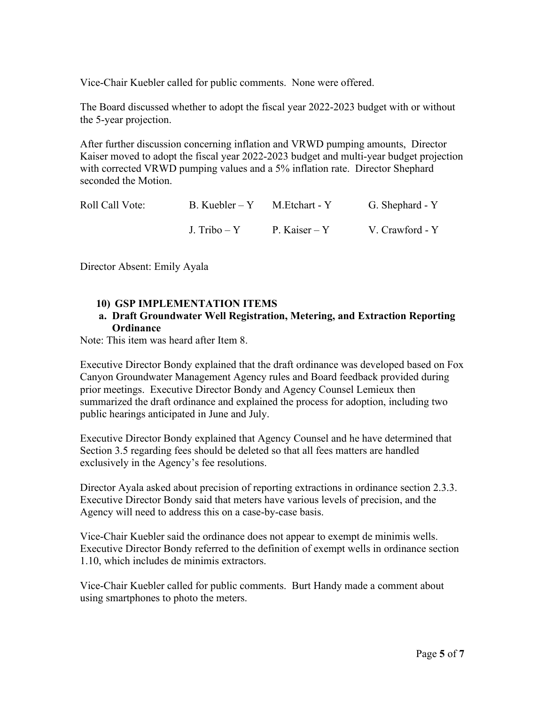Vice-Chair Kuebler called for public comments. None were offered.

The Board discussed whether to adopt the fiscal year 2022-2023 budget with or without the 5-year projection.

After further discussion concerning inflation and VRWD pumping amounts, Director Kaiser moved to adopt the fiscal year 2022-2023 budget and multi-year budget projection with corrected VRWD pumping values and a 5% inflation rate. Director Shephard seconded the Motion.

| Roll Call Vote: | $B. Kuebler - Y$ M. Etchart - Y | G. Shephard - Y |
|-----------------|---------------------------------|-----------------|
|                 | J. Tribo – Y P. Kaiser – Y      | V. Crawford - Y |

Director Absent: Emily Ayala

#### **10) GSP IMPLEMENTATION ITEMS**

#### **a. Draft Groundwater Well Registration, Metering, and Extraction Reporting Ordinance**

Note: This item was heard after Item 8.

Executive Director Bondy explained that the draft ordinance was developed based on Fox Canyon Groundwater Management Agency rules and Board feedback provided during prior meetings. Executive Director Bondy and Agency Counsel Lemieux then summarized the draft ordinance and explained the process for adoption, including two public hearings anticipated in June and July.

Executive Director Bondy explained that Agency Counsel and he have determined that Section 3.5 regarding fees should be deleted so that all fees matters are handled exclusively in the Agency's fee resolutions.

Director Ayala asked about precision of reporting extractions in ordinance section 2.3.3. Executive Director Bondy said that meters have various levels of precision, and the Agency will need to address this on a case-by-case basis.

Vice-Chair Kuebler said the ordinance does not appear to exempt de minimis wells. Executive Director Bondy referred to the definition of exempt wells in ordinance section 1.10, which includes de minimis extractors.

Vice-Chair Kuebler called for public comments. Burt Handy made a comment about using smartphones to photo the meters.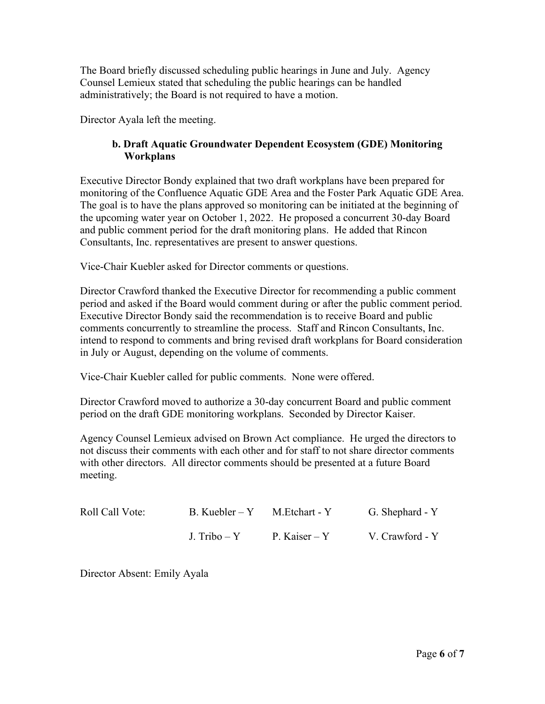The Board briefly discussed scheduling public hearings in June and July. Agency Counsel Lemieux stated that scheduling the public hearings can be handled administratively; the Board is not required to have a motion.

Director Ayala left the meeting.

## **b. Draft Aquatic Groundwater Dependent Ecosystem (GDE) Monitoring Workplans**

Executive Director Bondy explained that two draft workplans have been prepared for monitoring of the Confluence Aquatic GDE Area and the Foster Park Aquatic GDE Area. The goal is to have the plans approved so monitoring can be initiated at the beginning of the upcoming water year on October 1, 2022. He proposed a concurrent 30-day Board and public comment period for the draft monitoring plans. He added that Rincon Consultants, Inc. representatives are present to answer questions.

Vice-Chair Kuebler asked for Director comments or questions.

Director Crawford thanked the Executive Director for recommending a public comment period and asked if the Board would comment during or after the public comment period. Executive Director Bondy said the recommendation is to receive Board and public comments concurrently to streamline the process. Staff and Rincon Consultants, Inc. intend to respond to comments and bring revised draft workplans for Board consideration in July or August, depending on the volume of comments.

Vice-Chair Kuebler called for public comments. None were offered.

Director Crawford moved to authorize a 30-day concurrent Board and public comment period on the draft GDE monitoring workplans. Seconded by Director Kaiser.

Agency Counsel Lemieux advised on Brown Act compliance. He urged the directors to not discuss their comments with each other and for staff to not share director comments with other directors. All director comments should be presented at a future Board meeting.

| Roll Call Vote: | B. Kuebler – Y M. Etchart - Y |               | G. Shephard - Y |
|-----------------|-------------------------------|---------------|-----------------|
|                 | J. Tribo – Y                  | P. Kaiser – Y | V. Crawford - Y |

Director Absent: Emily Ayala